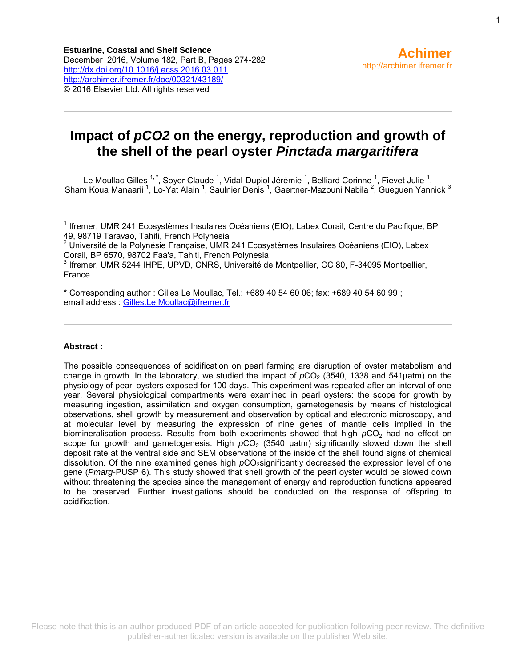# **Impact of** *pCO2* **on the energy, reproduction and growth of the shell of the pearl oyster** *Pinctada margaritifera*

Le Moullac Gilles  $1^*$ , Soyer Claude <sup>1</sup>, Vidal-Dupiol Jérémie <sup>1</sup>, Belliard Corinne <sup>1</sup>, Fievet Julie <sup>1</sup>, Sham Koua Manaarii <sup>1</sup>, Lo-Yat Alain <sup>1</sup>, Saulnier Denis <sup>1</sup>, Gaertner-Mazouni Nabila <sup>2</sup>, Gueguen Yannick <sup>3</sup>

<sup>1</sup> Ifremer, UMR 241 Ecosystèmes Insulaires Océaniens (EIO), Labex Corail, Centre du Pacifique, BP 49, 98719 Taravao, Tahiti, French Polynesia

<sup>2</sup> Université de la Polynésie Française, UMR 241 Ecosystèmes Insulaires Océaniens (EIO), Labex Corail, BP 6570, 98702 Faa'a, Tahiti, French Polynesia

3 Ifremer, UMR 5244 IHPE, UPVD, CNRS, Université de Montpellier, CC 80, F-34095 Montpellier, France

\* Corresponding author : Gilles Le Moullac, Tel.: +689 40 54 60 06; fax: +689 40 54 60 99 ; email address : [Gilles.Le.Moullac@ifremer.fr](mailto:Gilles.Le.Moullac@ifremer.fr)

#### **Abstract :**

The possible consequences of acidification on pearl farming are disruption of oyster metabolism and change in growth. In the laboratory, we studied the impact of  $pCO<sub>2</sub>$  (3540, 1338 and 541 uatm) on the physiology of pearl oysters exposed for 100 days. This experiment was repeated after an interval of one year. Several physiological compartments were examined in pearl oysters: the scope for growth by measuring ingestion, assimilation and oxygen consumption, gametogenesis by means of histological observations, shell growth by measurement and observation by optical and electronic microscopy, and at molecular level by measuring the expression of nine genes of mantle cells implied in the biomineralisation process. Results from both experiments showed that high  $pCO<sub>2</sub>$  had no effect on scope for growth and gametogenesis. High  $pCO<sub>2</sub>$  (3540  $\mu$ atm) significantly slowed down the shell deposit rate at the ventral side and SEM observations of the inside of the shell found signs of chemical dissolution. Of the nine examined genes high *p*CO<sub>2</sub>significantly decreased the expression level of one gene (*Pmarg*-PUSP 6). This study showed that shell growth of the pearl oyster would be slowed down without threatening the species since the management of energy and reproduction functions appeared to be preserved. Further investigations should be conducted on the response of offspring to acidification.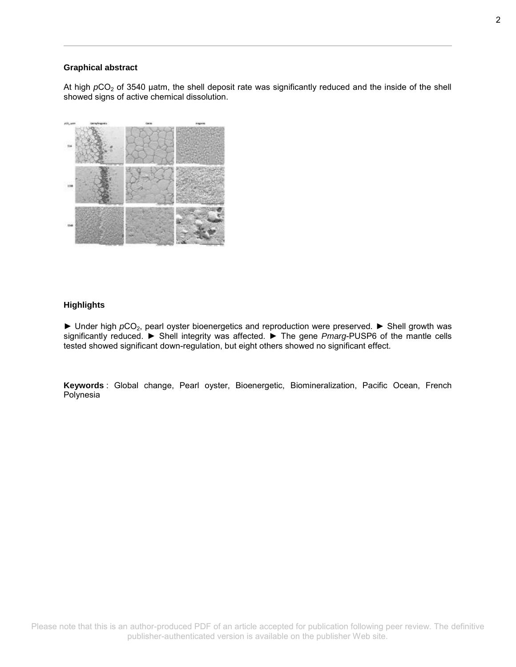#### **Graphical abstract**

At high  $pCO<sub>2</sub>$  of 3540 µatm, the shell deposit rate was significantly reduced and the inside of the shell showed signs of active chemical dissolution.



#### **Highlights**

► Under high *p*CO2, pearl oyster bioenergetics and reproduction were preserved. ► Shell growth was significantly reduced. ► Shell integrity was affected. ► The gene *Pmarg*-PUSP6 of the mantle cells tested showed significant down-regulation, but eight others showed no significant effect.

**Keywords** : Global change, Pearl oyster, Bioenergetic, Biomineralization, Pacific Ocean, French Polynesia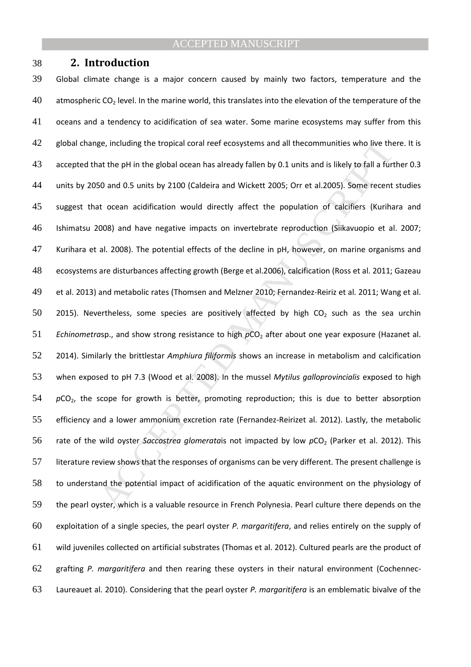#### **2. Introduction**

ge, including the tropical coral reef ecosystems and all the<br>communities who live the at the pH in the global ocean has already fallen by 0.1 units and is likely to fall a furt<br>50 and 0.5 units by 2100 (Caldeira and Wicket Global climate change is a major concern caused by mainly two factors, temperature and the 40 atmospheric CO<sub>2</sub> level. In the marine world, this translates into the elevation of the temperature of the oceans and a tendency to acidification of sea water. Some marine ecosystems may suffer from this 42 global change, including the tropical coral reef ecosystems and all thecommunities who live there. It is accepted that the pH in the global ocean has already fallen by 0.1 units and is likely to fall a further 0.3 units by 2050 and 0.5 units by 2100 (Caldeira and Wickett 2005; Orr et al.2005). Some recent studies suggest that ocean acidification would directly affect the population of calcifiers (Kurihara and Ishimatsu 2008) and have negative impacts on invertebrate reproduction (Siikavuopio et al. 2007; Kurihara et al. 2008). The potential effects of the decline in pH, however, on marine organisms and ecosystems are disturbances affecting growth (Berge et al.2006), calcification (Ross et al. 2011; Gazeau et al. 2013) and metabolic rates (Thomsen and Melzner 2010; Fernandez-Reiriz et al. 2011; Wang et al. 50 2015). Nevertheless, some species are positively affected by high  $CO<sub>2</sub>$  such as the sea urchin *Echinometrasp.,* and show strong resistance to high  $pCO<sub>2</sub>$  after about one year exposure (Hazanet al. 2014). Similarly the brittlestar *Amphiura filiformis* shows an increase in metabolism and calcification when exposed to pH 7.3 (Wood et al. 2008). In the mussel *Mytilus galloprovincialis* exposed to high 54 pCO<sub>2</sub>, the scope for growth is better, promoting reproduction; this is due to better absorption efficiency and a lower ammonium excretion rate (Fernandez-Reirizet al. 2012). Lastly, the metabolic 56 rate of the wild oyster *Saccostrea glomerata*is not impacted by low  $pCO_2$  (Parker et al. 2012). This literature review shows that the responses of organisms can be very different. The present challenge is to understand the potential impact of acidification of the aquatic environment on the physiology of the pearl oyster, which is a valuable resource in French Polynesia. Pearl culture there depends on the exploitation of a single species, the pearl oyster *P. margaritifera*, and relies entirely on the supply of wild juveniles collected on artificial substrates (Thomas et al. 2012). Cultured pearls are the product of grafting *P. margaritifera* and then rearing these oysters in their natural environment (Cochennec-Laureauet al. 2010). Considering that the pearl oyster *P. margaritifera* is an emblematic bivalve of the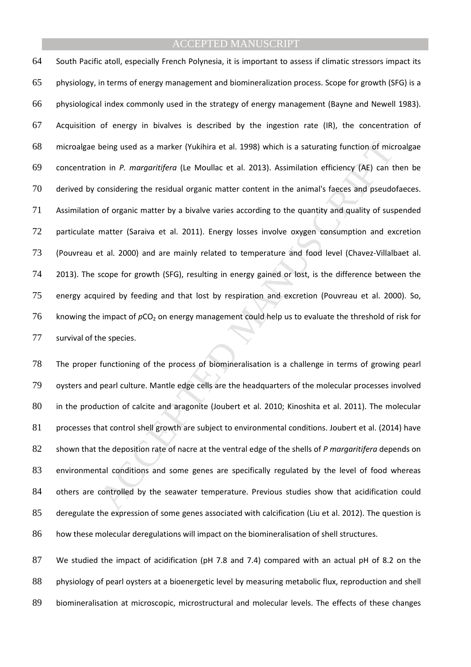being used as a marker (Yukihira et al. 1998) which is a saturating function of mic<br>on in *P. margaritifera* (Le Moullac et al. 2013). Assimilation efficiency (AE) can t<br>considering the residual organic matter content in t South Pacific atoll, especially French Polynesia, it is important to assess if climatic stressors impact its physiology, in terms of energy management and biomineralization process. Scope for growth (SFG) is a physiological index commonly used in the strategy of energy management (Bayne and Newell 1983). Acquisition of energy in bivalves is described by the ingestion rate (IR), the concentration of microalgae being used as a marker (Yukihira et al. 1998) which is a saturating function of microalgae concentration in *P. margaritifera* (Le Moullac et al. 2013). Assimilation efficiency (AE) can then be derived by considering the residual organic matter content in the animal's faeces and pseudofaeces. Assimilation of organic matter by a bivalve varies according to the quantity and quality of suspended particulate matter (Saraiva et al. 2011). Energy losses involve oxygen consumption and excretion (Pouvreau et al. 2000) and are mainly related to temperature and food level (Chavez-Villalbaet al. 2013). The scope for growth (SFG), resulting in energy gained or lost, is the difference between the energy acquired by feeding and that lost by respiration and excretion (Pouvreau et al. 2000). So, 76 knowing the impact of  $pCO<sub>2</sub>$  on energy management could help us to evaluate the threshold of risk for survival of the species.

The proper functioning of the process of biomineralisation is a challenge in terms of growing pearl oysters and pearl culture. Mantle edge cells are the headquarters of the molecular processes involved in the production of calcite and aragonite (Joubert et al. 2010; Kinoshita et al. 2011). The molecular 81 processes that control shell growth are subject to environmental conditions. Joubert et al. (2014) have shown that the deposition rate of nacre at the ventral edge of the shells of *P margaritifera* depends on environmental conditions and some genes are specifically regulated by the level of food whereas 84 others are controlled by the seawater temperature. Previous studies show that acidification could deregulate the expression of some genes associated with calcification (Liu et al. 2012). The question is how these molecular deregulations will impact on the biomineralisation of shell structures.

87 We studied the impact of acidification (pH 7.8 and 7.4) compared with an actual pH of 8.2 on the physiology of pearl oysters at a bioenergetic level by measuring metabolic flux, reproduction and shell biomineralisation at microscopic, microstructural and molecular levels. The effects of these changes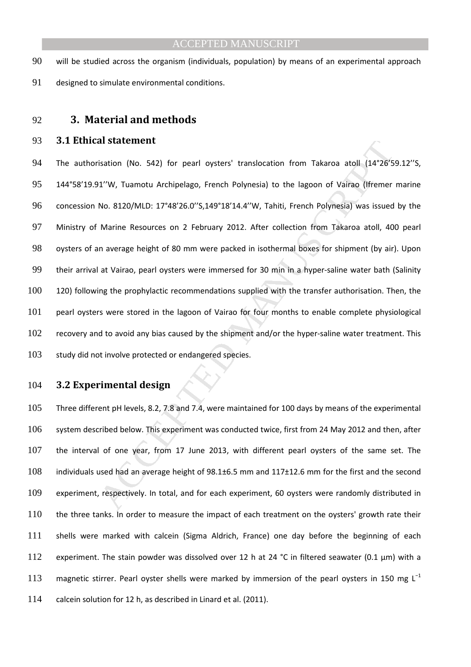will be studied across the organism (individuals, population) by means of an experimental approach designed to simulate environmental conditions.

#### **3. Material and methods**

#### **3.1 Ethical statement**

al statement<br>
18 statement<br>
18 station (No. 542) for pearl oysters' translocation from Takaroa atoll (14°26'5<br>
11"W, Tuamotu Archipelago, French Polynesia) to the lagoon of Vairao (lfremer<br>
110. 8120/MLD: 17"48'26.0" \$,149 94 The authorisation (No. 542) for pearl oysters' translocation from Takaroa atoll (14°26'59.12"S, 144°58'19.91''W, Tuamotu Archipelago, French Polynesia) to the lagoon of Vairao (Ifremer marine concession No. 8120/MLD: 17°48'26.0''S,149°18'14.4''W, Tahiti, French Polynesia) was issued by the Ministry of Marine Resources on 2 February 2012. After collection from Takaroa atoll, 400 pearl oysters of an average height of 80 mm were packed in isothermal boxes for shipment (by air). Upon their arrival at Vairao, pearl oysters were immersed for 30 min in a hyper-saline water bath (Salinity 120) following the prophylactic recommendations supplied with the transfer authorisation. Then, the pearl oysters were stored in the lagoon of Vairao for four months to enable complete physiological recovery and to avoid any bias caused by the shipment and/or the hyper-saline water treatment. This 103 study did not involve protected or endangered species.

#### **3.2 Experimental design**

Three different pH levels, 8.2, 7.8 and 7.4, were maintained for 100 days by means of the experimental system described below. This experiment was conducted twice, first from 24 May 2012 and then, after the interval of one year, from 17 June 2013, with different pearl oysters of the same set. The individuals used had an average height of 98.1±6.5 mm and 117±12.6 mm for the first and the second experiment, respectively. In total, and for each experiment, 60 oysters were randomly distributed in 110 the three tanks. In order to measure the impact of each treatment on the oysters' growth rate their shells were marked with calcein (Sigma Aldrich, France) one day before the beginning of each 112 experiment. The stain powder was dissolved over 12 h at 24 °C in filtered seawater (0.1  $\mu$ m) with a 113 magnetic stirrer. Pearl oyster shells were marked by immersion of the pearl oysters in 150 mg L<sup>-1</sup> calcein solution for 12 h, as described in Linard et al. (2011).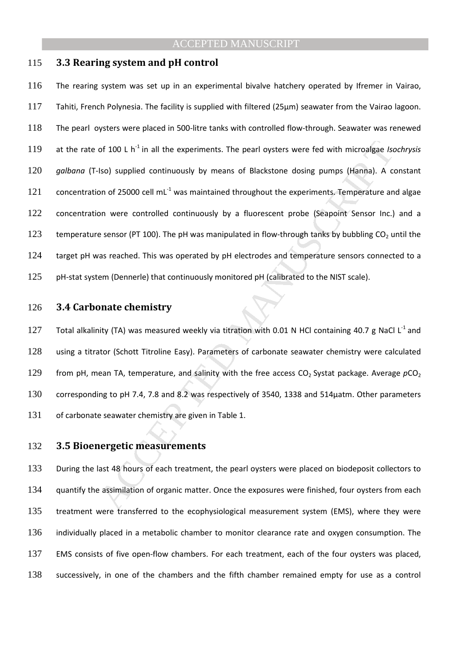#### 115 **3.3 Rearing system and pH control**

of 100 L h<sup>1</sup> in all the experiments. The pearl oysters were fed with microalgae *Isc*<br>
Iso) supplied continuously by means of Blackstone dosing pumps (Hanna). A comot 25000 cell mL<sup>-1</sup> was maintained throughout the experi 116 The rearing system was set up in an experimental bivalve hatchery operated by Ifremer in Vairao, 117 Tahiti, French Polynesia. The facility is supplied with filtered (25µm) seawater from the Vairao lagoon. 118 The pearl oysters were placed in 500-litre tanks with controlled flow-through. Seawater was renewed 119 at the rate of 100 L  $h^{-1}$  in all the experiments. The pearl oysters were fed with microalgae *Isochrysis* 120 *galbana* (T-Iso) supplied continuously by means of Blackstone dosing pumps (Hanna). A constant 121 concentration of 25000 cell mL $<sup>-1</sup>$  was maintained throughout the experiments. Temperature and algae</sup> 122 concentration were controlled continuously by a fluorescent probe (Seapoint Sensor Inc.) and a 123 temperature sensor (PT 100). The pH was manipulated in flow-through tanks by bubbling  $CO<sub>2</sub>$  until the 124 target pH was reached. This was operated by pH electrodes and temperature sensors connected to a 125 pH-stat system (Dennerle) that continuously monitored pH (calibrated to the NIST scale).

#### 126 **3.4 Carbonate chemistry**

127 Total alkalinity (TA) was measured weekly via titration with 0.01 N HCl containing 40.7 g NaCl L<sup>-1</sup> and 128 using a titrator (Schott Titroline Easy). Parameters of carbonate seawater chemistry were calculated 129 from pH, mean TA, temperature, and salinity with the free access  $CO<sub>2</sub>$  Systat package. Average  $pCO<sub>2</sub>$ 130 corresponding to pH 7.4, 7.8 and 8.2 was respectively of 3540, 1338 and 514µatm. Other parameters 131 of carbonate seawater chemistry are given in Table 1.

#### 132 **3.5 Bioenergetic measurements**

133 During the last 48 hours of each treatment, the pearl oysters were placed on biodeposit collectors to 134 quantify the assimilation of organic matter. Once the exposures were finished, four oysters from each treatment were transferred to the ecophysiological measurement system (EMS), where they were individually placed in a metabolic chamber to monitor clearance rate and oxygen consumption. The EMS consists of five open-flow chambers. For each treatment, each of the four oysters was placed, successively, in one of the chambers and the fifth chamber remained empty for use as a control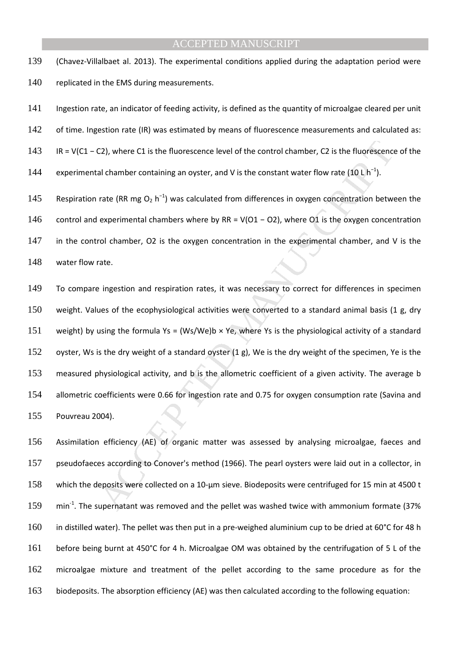139 (Chavez-Villalbaet al. 2013). The experimental conditions applied during the adaptation period were 140 replicated in the EMS during measurements.

141 Ingestion rate, an indicator of feeding activity, is defined as the quantity of microalgae cleared per unit 142 of time. Ingestion rate (IR) was estimated by means of fluorescence measurements and calculated as: 143 IR = V(C1 − C2), where C1 is the fluorescence level of the control chamber, C2 is the fluorescence of the 144 experimental chamber containing an oyster, and V is the constant water flow rate (10 L h<sup>-1</sup>). 145 Respiration rate (RR mg O<sub>2</sub> h<sup>-1</sup>) was calculated from differences in oxygen concentration between the

146 control and experimental chambers where by RR = V(O1 − O2), where O1 is the oxygen concentration 147 in the control chamber, O2 is the oxygen concentration in the experimental chamber, and V is the 148 water flow rate.

C2), where C1 is the fluorescence level of the control chamber, C2 is the fluorescence<br>al chamber containing an oyster, and V is the constant water flow rate (10 L h<sup>-1</sup>).<br>Tracted (RR mg O<sub>2</sub> h<sup>-1</sup>) was calculated from di To compare ingestion and respiration rates, it was necessary to correct for differences in specimen weight. Values of the ecophysiological activities were converted to a standard animal basis (1 g, dry 151 weight) by using the formula Ys = (Ws/We)b  $\times$  Ye, where Ys is the physiological activity of a standard oyster, Ws is the dry weight of a standard oyster (1 g), We is the dry weight of the specimen, Ye is the measured physiological activity, and b is the allometric coefficient of a given activity. The average b allometric coefficients were 0.66 for ingestion rate and 0.75 for oxygen consumption rate (Savina and Pouvreau 2004).

Assimilation efficiency (AE) of organic matter was assessed by analysing microalgae, faeces and pseudofaeces according to Conover's method (1966). The pearl oysters were laid out in a collector, in 158 which the deposits were collected on a 10-um sieve. Biodeposits were centrifuged for 15 min at 4500 t 159 min<sup>-1</sup>. The supernatant was removed and the pellet was washed twice with ammonium formate (37% 160 in distilled water). The pellet was then put in a pre-weighed aluminium cup to be dried at 60°C for 48 h before being burnt at 450°C for 4 h. Microalgae OM was obtained by the centrifugation of 5 L of the microalgae mixture and treatment of the pellet according to the same procedure as for the biodeposits. The absorption efficiency (AE) was then calculated according to the following equation: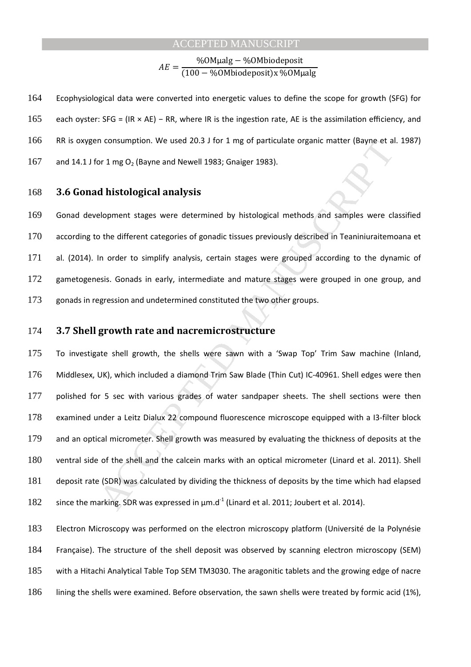$AE =$ %OMµalg − %OMbiodeposit 100 − %OMbiodepositx %OMµalg 

164 Ecophysiological data were converted into energetic values to define the scope for growth (SFG) for 165 each oyster: SFG = (IR × AE) – RR, where IR is the ingestion rate, AE is the assimilation efficiency, and 166 RR is oxygen consumption. We used 20.3 J for 1 mg of particulate organic matter (Bayne et al. 1987) 167 and 14.1 J for 1 mg  $O_2$  (Bayne and Newell 1983; Gnaiger 1983).

#### 168 **3.6 Gonad histological analysis**

169 Gonad development stages were determined by histological methods and samples were classified 170 according to the different categories of gonadic tissues previously described in Teaniniuraitemoana et 171 al. (2014). In order to simplify analysis, certain stages were grouped according to the dynamic of 172 gametogenesis. Gonads in early, intermediate and mature stages were grouped in one group, and 173 gonads in regression and undetermined constituted the two other groups.

#### 174 **3.7 Shell growth rate and nacremicrostructure**

n consumption. We used 20.3 J for 1 mg of particulate organic matter (Bayne et al<br>or 1 mg O<sub>2</sub> (Bayne and Newell 1983; Gnaiger 1983).<br>**d histological analysis**<br>elopment stages were determined by histological methods and sa To investigate shell growth, the shells were sawn with a 'Swap Top' Trim Saw machine (Inland, Middlesex, UK), which included a diamond Trim Saw Blade (Thin Cut) IC-40961. Shell edges were then 177 polished for 5 sec with various grades of water sandpaper sheets. The shell sections were then examined under a Leitz Dialux 22 compound fluorescence microscope equipped with a I3-filter block and an optical micrometer. Shell growth was measured by evaluating the thickness of deposits at the ventral side of the shell and the calcein marks with an optical micrometer (Linard et al. 2011). Shell deposit rate (SDR) was calculated by dividing the thickness of deposits by the time which had elapsed 182 since the marking. SDR was expressed in  $\mu$ m.d<sup>-1</sup> (Linard et al. 2011; Joubert et al. 2014).

Electron Microscopy was performed on the electron microscopy platform (Université de la Polynésie Française). The structure of the shell deposit was observed by scanning electron microscopy (SEM) with a Hitachi Analytical Table Top SEM TM3030. The aragonitic tablets and the growing edge of nacre lining the shells were examined. Before observation, the sawn shells were treated by formic acid (1%),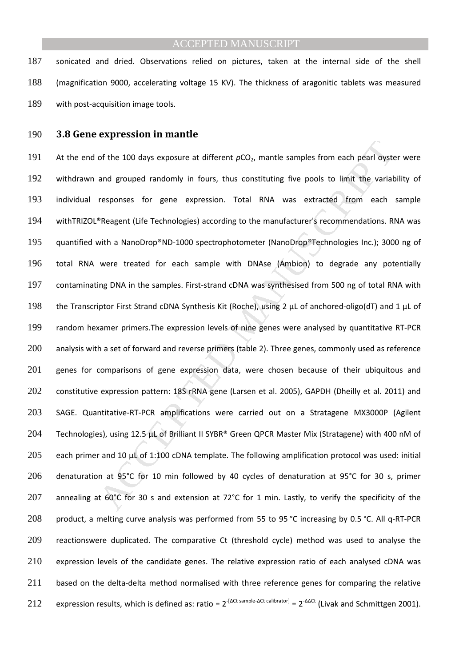187 sonicated and dried. Observations relied on pictures, taken at the internal side of the shell 188 (magnification 9000, accelerating voltage 15 KV). The thickness of aragonitic tablets was measured 189 with post-acquisition image tools.

#### 190 **3.8 Gene expression in mantle**

of the 100 days exposure at different  $pCO_2$ , mantle samples from each pearl oystern and grouped randomly in fours, thus constituting five pools to limit the variative responses for gene expression. Total RNA was extracte 191 At the end of the 100 days exposure at different  $pCO<sub>2</sub>$ , mantle samples from each pearl oyster were 192 withdrawn and grouped randomly in fours, thus constituting five pools to limit the variability of 193 individual responses for gene expression. Total RNA was extracted from each sample 194 withTRIZOL®Reagent (Life Technologies) according to the manufacturer's recommendations. RNA was 195 quantified with a NanoDrop®ND-1000 spectrophotometer (NanoDrop®Technologies Inc.); 3000 ng of 196 total RNA were treated for each sample with DNAse (Ambion) to degrade any potentially 197 contaminating DNA in the samples. First-strand cDNA was synthesised from 500 ng of total RNA with 198 the Transcriptor First Strand cDNA Synthesis Kit (Roche), using 2 µL of anchored-oligo(dT) and 1 µL of 199 random hexamer primers.The expression levels of nine genes were analysed by quantitative RT-PCR 200 analysis with a set of forward and reverse primers (table 2). Three genes, commonly used as reference 201 genes for comparisons of gene expression data, were chosen because of their ubiquitous and 202 constitutive expression pattern: 18S rRNA gene (Larsen et al. 2005), GAPDH (Dheilly et al. 2011) and 203 SAGE. Quantitative-RT-PCR amplifications were carried out on a Stratagene MX3000P (Agilent 204 Technologies), using 12.5 µL of Brilliant II SYBR® Green QPCR Master Mix (Stratagene) with 400 nM of 205 each primer and 10 µL of 1:100 cDNA template. The following amplification protocol was used: initial 206 denaturation at 95°C for 10 min followed by 40 cycles of denaturation at 95°C for 30 s, primer 207 annealing at 60°C for 30 s and extension at 72°C for 1 min. Lastly, to verify the specificity of the 208 product, a melting curve analysis was performed from 55 to 95 °C increasing by 0.5 °C. All q-RT-PCR 209 reactionswere duplicated. The comparative Ct (threshold cycle) method was used to analyse the 210 expression levels of the candidate genes. The relative expression ratio of each analysed cDNA was 211 based on the delta-delta method normalised with three reference genes for comparing the relative 212 expression results, which is defined as: ratio =  $2^{-(\Delta Ct \text{ sample-}\Delta Ct \text{ calibrator})} = 2^{-\Delta\Delta Ct}$  (Livak and Schmittgen 2001).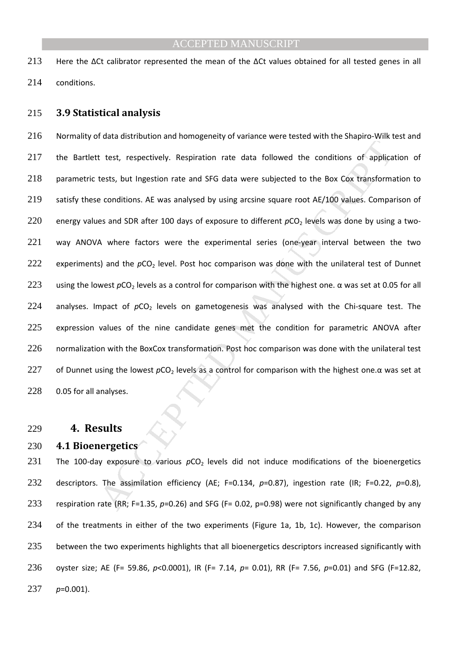213 Here the ΔCt calibrator represented the mean of the ΔCt values obtained for all tested genes in all 214 conditions.

#### 215 **3.9 Statistical analysis**

Example and SFG data were subjected to the Goalington rate of the Simple and test, respectively. Respiration rate data followed the conditions of applicatests, but Ingestion rate and SFG data were subjected to the Box Cox 216 Normality of data distribution and homogeneity of variance were tested with the Shapiro-Wilk test and 217 the Bartlett test, respectively. Respiration rate data followed the conditions of application of 218 parametric tests, but Ingestion rate and SFG data were subjected to the Box Cox transformation to 219 satisfy these conditions. AE was analysed by using arcsine square root AE/100 values. Comparison of 220 energy values and SDR after 100 days of exposure to different  $pCO<sub>2</sub>$  levels was done by using a two-221 way ANOVA where factors were the experimental series (one-year interval between the two 222 experiments) and the  $pCO<sub>2</sub>$  level. Post hoc comparison was done with the unilateral test of Dunnet 223 using the lowest *p*CO<sub>2</sub> levels as a control for comparison with the highest one. α was set at 0.05 for all 224 analyses. Impact of  $pCO<sub>2</sub>$  levels on gametogenesis was analysed with the Chi-square test. The 225 expression values of the nine candidate genes met the condition for parametric ANOVA after 226 normalization with the BoxCox transformation. Post hoc comparison was done with the unilateral test 227 of Dunnet using the lowest *p*CO<sub>2</sub> levels as a control for comparison with the highest one.α was set at 228 0.05 for all analyses.

#### 229 **4. Results**

#### 230 **4.1 Bioenergetics**

231 The 100-day exposure to various  $pCO<sub>2</sub>$  levels did not induce modifications of the bioenergetics 232 descriptors. The assimilation efficiency (AE; F=0.134, *p*=0.87), ingestion rate (IR; F=0.22, *p*=0.8), 233 respiration rate (RR; F=1.35, *p*=0.26) and SFG (F= 0.02, p=0.98) were not significantly changed by any 234 of the treatments in either of the two experiments (Figure 1a, 1b, 1c). However, the comparison 235 between the two experiments highlights that all bioenergetics descriptors increased significantly with 236 oyster size; AE (F= 59.86, *p*<0.0001), IR (F= 7.14, *p*= 0.01), RR (F= 7.56, *p*=0.01) and SFG (F=12.82, 237 *p*=0.001).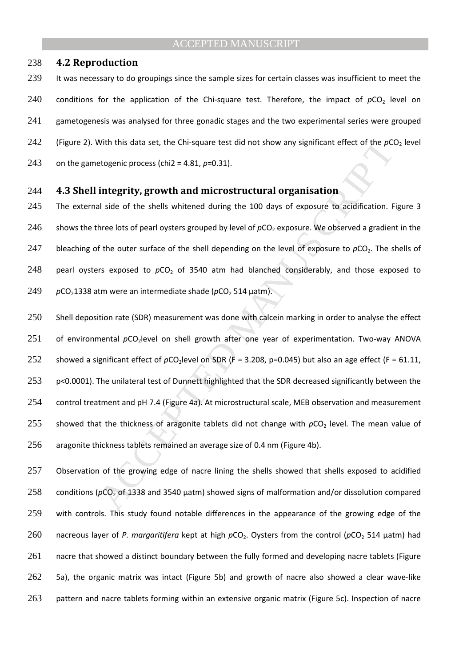#### 238 **4.2 Reproduction**

239 It was necessary to do groupings since the sample sizes for certain classes was insufficient to meet the 240 conditions for the application of the Chi-square test. Therefore, the impact of  $pCO<sub>2</sub>$  level on 241 gametogenesis was analysed for three gonadic stages and the two experimental series were grouped 242 (Figure 2). With this data set, the Chi-square test did not show any significant effect of the  $pCO<sub>2</sub>$  level 243 on the gametogenic process (chi2 =  $4.81, p=0.31$ ).

#### 244 **4.3 Shell integrity, growth and microstructural organisation**

245 The external side of the shells whitened during the 100 days of exposure to acidification. Figure 3 246 shows the three lots of pearl oysters grouped by level of  $pCO<sub>2</sub>$  exposure. We observed a gradient in the 247 bleaching of the outer surface of the shell depending on the level of exposure to  $pCO<sub>2</sub>$ . The shells of 248 pearl oysters exposed to  $pCO<sub>2</sub>$  of 3540 atm had blanched considerably, and those exposed to 249 *p*CO<sub>2</sub>1338 atm were an intermediate shade (*pCO*<sub>2</sub> 514 uatm).

With this data set, the Chi-square test did not show any significant effect of the  $\rho$ Cd<br>etogenic process (chi2 = 4.81,  $\rho$ =0.31).<br> **integrity, growth and microstructural organisation**<br>
Il side of the shells whitened du 250 Shell deposition rate (SDR) measurement was done with calcein marking in order to analyse the effect 251 of environmental pCO<sub>2</sub>level on shell growth after one year of experimentation. Two-way ANOVA 252 showed a significant effect of  $pCO<sub>2</sub>$  level on SDR (F = 3.208, p=0.045) but also an age effect (F = 61.11, 253 p<0.0001). The unilateral test of Dunnett highlighted that the SDR decreased significantly between the 254 control treatment and pH 7.4 (Figure 4a). At microstructural scale, MEB observation and measurement 255 showed that the thickness of aragonite tablets did not change with  $pCO<sub>2</sub>$  level. The mean value of 256 aragonite thickness tablets remained an average size of 0.4 nm (Figure 4b).

257 Observation of the growing edge of nacre lining the shells showed that shells exposed to acidified 258 conditions ( $pCO<sub>2</sub>$  of 1338 and 3540  $\mu$ atm) showed signs of malformation and/or dissolution compared 259 with controls. This study found notable differences in the appearance of the growing edge of the 260 nacreous layer of *P. margaritifera* kept at high  $pCO<sub>2</sub>$ . Oysters from the control ( $pCO<sub>2</sub> 514$  µatm) had 261 nacre that showed a distinct boundary between the fully formed and developing nacre tablets (Figure 262 5a), the organic matrix was intact (Figure 5b) and growth of nacre also showed a clear wave-like 263 pattern and nacre tablets forming within an extensive organic matrix (Figure 5c). Inspection of nacre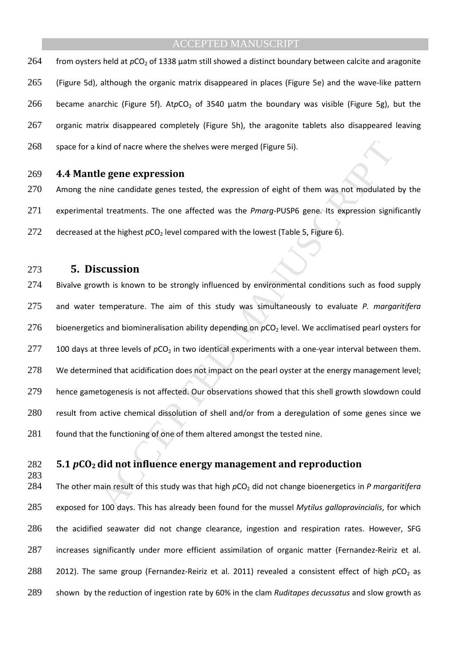264 from oysters held at  $pCO<sub>2</sub>$  of 1338 µatm still showed a distinct boundary between calcite and aragonite 265 (Figure 5d), although the organic matrix disappeared in places (Figure 5e) and the wave-like pattern 266 became anarchic (Figure 5f). AtpCO<sub>2</sub> of 3540 µatm the boundary was visible (Figure 5g), but the 267 organic matrix disappeared completely (Figure 5h), the aragonite tablets also disappeared leaving 268 space for a kind of nacre where the shelves were merged (Figure 5i).

#### 269 **4.4 Mantle gene expression**

270 Among the nine candidate genes tested, the expression of eight of them was not modulated by the 271 experimental treatments. The one affected was the *Pmarg*-PUSP6 gene. Its expression significantly 272 decreased at the highest pCO<sub>2</sub> level compared with the lowest (Table 5, Figure 6).

273 **5. Discussion** 

283

kind of nacre where the shelves were merged (Figure 5i).<br> **le gene expression**<br>
inie candidate genes tested, the expression of eight of them was not modulated<br>
al treatments. The one affected was the *Pmarg-PUSP6* gene. I 274 Bivalve growth is known to be strongly influenced by environmental conditions such as food supply 275 and water temperature. The aim of this study was simultaneously to evaluate *P. margaritifera*  276 bioenergetics and biomineralisation ability depending on  $pCO<sub>2</sub>$  level. We acclimatised pearl oysters for 277 100 days at three levels of  $pCO<sub>2</sub>$  in two identical experiments with a one-year interval between them. 278 We determined that acidification does not impact on the pearl oyster at the energy management level; 279 hence gametogenesis is not affected. Our observations showed that this shell growth slowdown could 280 result from active chemical dissolution of shell and/or from a deregulation of some genes since we 281 found that the functioning of one of them altered amongst the tested nine.

# 282 **5.1** *p***CO2 did not influence energy management and reproduction**

284 The other main result of this study was that high  $pCO<sub>2</sub>$  did not change bioenergetics in *P margaritifera* exposed for 100 days. This has already been found for the mussel *Mytilus galloprovincialis*, for which the acidified seawater did not change clearance, ingestion and respiration rates. However, SFG increases significantly under more efficient assimilation of organic matter (Fernandez-Reiriz et al. 288 2012). The same group (Fernandez-Reiriz et al. 2011) revealed a consistent effect of high  $pCO<sub>2</sub>$  as shown by the reduction of ingestion rate by 60% in the clam *Ruditapes decussatus* and slow growth as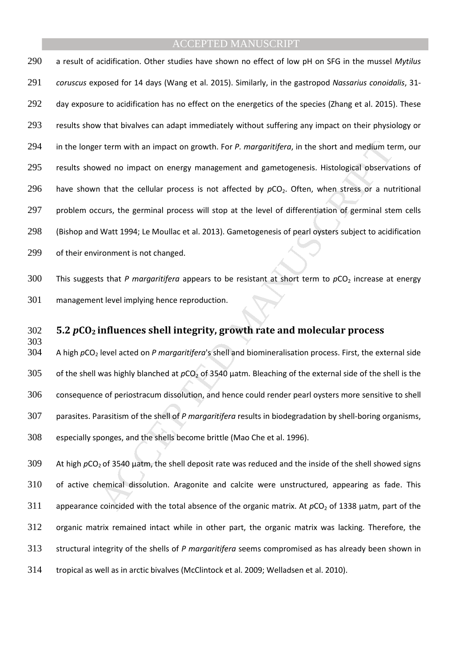or term with an impact on growth. For *P. margaritifera*, in the short and medium te<br>wed no impact on energy management and gametogenesis. Histological observat<br>that the cellular process is not affected by  $pCO_2$ . Often, a result of acidification. Other studies have shown no effect of low pH on SFG in the mussel *Mytilus coruscus* exposed for 14 days (Wang et al. 2015). Similarly, in the gastropod *Nassarius conoidalis*, 31- 292 day exposure to acidification has no effect on the energetics of the species (Zhang et al. 2015). These results show that bivalves can adapt immediately without suffering any impact on their physiology or in the longer term with an impact on growth. For *P. margaritifera*, in the short and medium term, our results showed no impact on energy management and gametogenesis. Histological observations of 296 have shown that the cellular process is not affected by  $pCO<sub>2</sub>$ . Often, when stress or a nutritional 297 problem occurs, the germinal process will stop at the level of differentiation of germinal stem cells (Bishop and Watt 1994; Le Moullac et al. 2013). Gametogenesis of pearl oysters subject to acidification of their environment is not changed.

300 This suggests that *P margaritifera* appears to be resistant at short term to  $pCO_2$  increase at energy management level implying hence reproduction.

#### **5.2** *p***CO2 influences shell integrity, growth rate and molecular process**

303<br>304 A high *p*CO2 level acted on *P margaritifera*'s shell and biomineralisation process. First, the external side 305 of the shell was highly blanched at  $pCO<sub>2</sub>$  of 3540 µatm. Bleaching of the external side of the shell is the consequence of periostracum dissolution, and hence could render pearl oysters more sensitive to shell parasites. Parasitism of the shell of *P margaritifera* results in biodegradation by shell-boring organisms, especially sponges, and the shells become brittle (Mao Che et al. 1996).

309 At high *p*CO<sub>2</sub> of 3540 µatm, the shell deposit rate was reduced and the inside of the shell showed signs of active chemical dissolution. Aragonite and calcite were unstructured, appearing as fade. This 311 appearance coincided with the total absence of the organic matrix. At  $pCO<sub>2</sub>$  of 1338 µatm, part of the organic matrix remained intact while in other part, the organic matrix was lacking. Therefore, the structural integrity of the shells of *P margaritifera* seems compromised as has already been shown in tropical as well as in arctic bivalves (McClintock et al. 2009; Welladsen et al. 2010).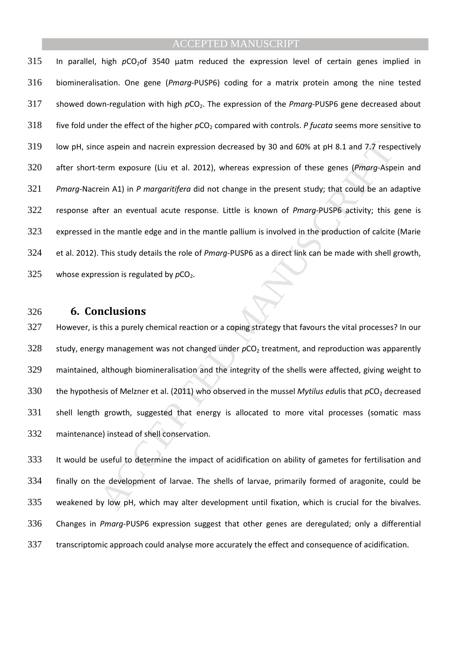ie aspein and nacrein expression decreased by 30 and 60% at pH 8.1 and 7.7 respeterm exposure (Liu et al. 2012), whereas expression of these genes (*Pmorg*-Aspetein A1) in *P morgaritifera* did not change in the present st 315 In parallel, high *pCO<sub>2</sub>of* 3540 µatm reduced the expression level of certain genes implied in biomineralisation. One gene (*Pmarg*-PUSP6) coding for a matrix protein among the nine tested 317 showed down-regulation with high  $pCO<sub>2</sub>$ . The expression of the *Pmarg*-PUSP6 gene decreased about 318 five fold under the effect of the higher  $pCO_2$  compared with controls. *P fucata* seems more sensitive to low pH, since aspein and nacrein expression decreased by 30 and 60% at pH 8.1 and 7.7 respectively after short-term exposure (Liu et al. 2012), whereas expression of these genes (*Pmarg*-Aspein and *Pmarg*-Nacrein A1) in *P margaritifera* did not change in the present study; that could be an adaptive response after an eventual acute response. Little is known of *Pmarg*-PUSP6 activity; this gene is expressed in the mantle edge and in the mantle pallium is involved in the production of calcite (Marie et al. 2012). This study details the role of *Pmarg*-PUSP6 as a direct link can be made with shell growth, 325 whose expression is regulated by  $pCO<sub>2</sub>$ .

#### **6. Conclusions**

However, is this a purely chemical reaction or a coping strategy that favours the vital processes? In our 328 study, energy management was not changed under  $pCO<sub>2</sub>$  treatment, and reproduction was apparently maintained, although biomineralisation and the integrity of the shells were affected, giving weight to 330 the hypothesis of Melzner et al. (2011) who observed in the mussel *Mytilus edulis* that  $pCO<sub>2</sub>$  decreased shell length growth, suggested that energy is allocated to more vital processes (somatic mass maintenance) instead of shell conservation.

It would be useful to determine the impact of acidification on ability of gametes for fertilisation and finally on the development of larvae. The shells of larvae, primarily formed of aragonite, could be weakened by low pH, which may alter development until fixation, which is crucial for the bivalves. Changes in *Pmarg*-PUSP6 expression suggest that other genes are deregulated; only a differential transcriptomic approach could analyse more accurately the effect and consequence of acidification.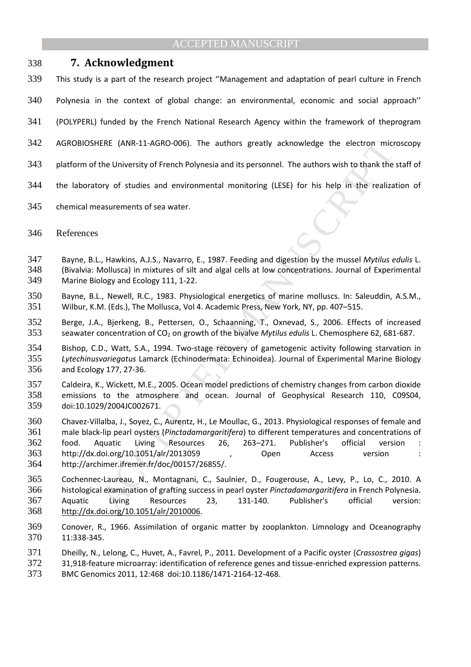# **7. Acknowledgment**

- This study is a part of the research project ''Management and adaptation of pearl culture in French
- Polynesia in the context of global change: an environmental, economic and social approach''
- (POLYPERL) funded by the French National Research Agency within the framework of theprogram
- AGROBIOSHERE (ANR-11-AGRO-006). The authors greatly acknowledge the electron microscopy
- platform of the University of French Polynesia and its personnel. The authors wish to thank the staff of
- the laboratory of studies and environmental monitoring (LESE) for his help in the realization of
- chemical measurements of sea water.
- 346 References
- Bayne, B.L., Hawkins, A.J.S., Navarro, E., 1987. Feeding and digestion by the mussel *Mytilus edulis* L. (Bivalvia: Mollusca) in mixtures of silt and algal cells at low concentrations. Journal of Experimental Marine Biology and Ecology 111, 1-22.
- Bayne, B.L., Newell, R.C., 1983. Physiological energetics of marine molluscs. In: Saleuddin, A.S.M., Wilbur, K.M. (Eds.), The Mollusca, Vol 4. Academic Press, New York, NY, pp. 407–515.
- Berge, J.A., Bjerkeng, B., Pettersen, O., Schaanning, T., Oxnevad, S., 2006. Effects of increased seawater concentration of CO2 on growth of the bivalve *Mytilus edulis* L. Chemosphere 62, 681-687.
- Bishop, C.D., Watt, S.A., 1994. Two-stage recovery of gametogenic activity following starvation in *Lytechinusvariegatus* Lamarck (Echinodermata: Echinoidea). Journal of Experimental Marine Biology and Ecology 177, 27-36.
- Caldeira, K., Wickett, M.E., 2005. Ocean model predictions of chemistry changes from carbon dioxide emissions to the atmosphere and ocean. Journal of Geophysical Research 110, C09S04, doi:10.1029/2004JC002671.
- IERE (ANR-11-AGRO-006). The authors greatly acknowledge the electron micrite<br>
the University of French Polynesia and its personnel. The authors wish to thank the<br>
ory of studies and environmental monitoring (LESE) for his Chavez-Villalba, J., Soyez, C., Aurentz, H., Le Moullac, G., 2013. Physiological responses of female and male black-lip pearl oysters (*Pinctadamargaritifera*) to different temperatures and concentrations of food. Aquatic Living Resources 26, 263–271. Publisher's official version : http://dx.doi.org/10.1051/alr/2013059 , Open Access version : http://archimer.ifremer.fr/doc/00157/26855/.
- Cochennec-Laureau, N., Montagnani, C., Saulnier, D., Fougerouse, A., Levy, P., Lo, C., 2010. A histological examination of grafting success in pearl oyster *Pinctadamargaritifera* in French Polynesia. Aquatic Living Resources 23, 131-140. Publisher's official version: http://dx.doi.org/10.1051/alr/2010006.
- Conover, R., 1966. Assimilation of organic matter by zooplankton. Limnology and Oceanography 11:338-345.
- Dheilly, N., Lelong, C., Huvet, A., Favrel, P., 2011. Development of a Pacific oyster (*Crassostrea gigas*)
- 31,918-feature microarray: identification of reference genes and tissue-enriched expression patterns. BMC Genomics 2011, 12:468 doi:10.1186/1471-2164-12-468.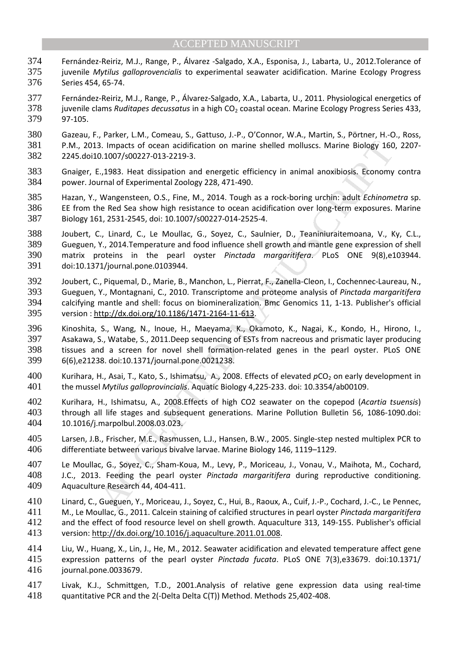- Fernández-Reiriz, M.J., Range, P., Álvarez -Salgado, X.A., Esponisa, J., Labarta, U., 2012.Tolerance of juvenile *Mytilus galloprovencialis* to experimental seawater acidification. Marine Ecology Progress Series 454, 65-74.
- Fernández-Reiriz, M.J., Range, P., Álvarez-Salgado, X.A., Labarta, U., 2011. Physiological energetics of 378 juvenile clams *Ruditapes decussatus* in a high CO<sub>2</sub> coastal ocean. Marine Ecology Progress Series 433, 97-105.
- Gazeau, F., Parker, L.M., Comeau, S., Gattuso, J.-P., O'Connor, W.A., Martin, S., Pörtner, H.-O., Ross, P.M., 2013. Impacts of ocean acidification on marine shelled molluscs. Marine Biology 160, 2207- 2245.doi10.1007/s00227-013-2219-3.
- Gnaiger, E.,1983. Heat dissipation and energetic efficiency in animal anoxibiosis. Economy contra power. Journal of Experimental Zoology 228, 471-490.
- Hazan, Y., Wangensteen, O.S., Fine, M., 2014. Tough as a rock-boring urchin: adult *Echinometra* sp. EE from the Red Sea show high resistance to ocean acidification over long-term exposures. Marine Biology 161, 2531-2545, doi: 10.1007/s00227-014-2525-4.
- Joubert, C., Linard, C., Le Moullac, G., Soyez, C., Saulnier, D., Teaniniuraitemoana, V., Ky, C.L., Gueguen, Y., 2014.Temperature and food influence shell growth and mantle gene expression of shell matrix proteins in the pearl oyster *Pinctada margaritifera*. PLoS ONE 9(8),e103944. doi:10.1371/journal.pone.0103944.
- Joubert, C., Piquemal, D., Marie, B., Manchon, L., Pierrat, F., Zanella-Cleon, I., Cochennec-Laureau, N., Gueguen, Y., Montagnani, C., 2010. Transcriptome and proteome analysis of *Pinctada margaritifera* calcifying mantle and shell: focus on biomineralization. Bmc Genomics 11, 1-13. Publisher's official version : http://dx.doi.org/10.1186/1471-2164-11-613.
- 3. Impacts of ocean acidification on marine shelled molluscs. Marine Biology 160<br>
0.1007/500227-013-2219-3.<br>
1.1933. Heat dissipation and energetic efficiency in animal anoxibiosis. Economy<br>
1.1007/500227-013-2219-3.<br>
Wang Kinoshita, S., Wang, N., Inoue, H., Maeyama, K., Okamoto, K., Nagai, K., Kondo, H., Hirono, I., Asakawa, S., Watabe, S., 2011.Deep sequencing of ESTs from nacreous and prismatic layer producing tissues and a screen for novel shell formation-related genes in the pearl oyster. PLoS ONE 6(6),e21238. doi:10.1371/journal.pone.0021238.
- 400 Kurihara, H., Asai, T., Kato, S., Ishimatsu, A., 2008. Effects of elevated  $pCO_2$  on early development in the mussel *Mytilus galloprovincialis*. Aquatic Biology 4,225-233. doi: 10.3354/ab00109.
- Kurihara, H., Ishimatsu, A., 2008.Effects of high CO2 seawater on the copepod (*Acartia tsuensis*) through all life stages and subsequent generations. Marine Pollution Bulletin 56, 1086-1090.doi: 10.1016/j.marpolbul.2008.03.023.
- Larsen, J.B., Frischer, M.E., Rasmussen, L.J., Hansen, B.W., 2005. Single-step nested multiplex PCR to differentiate between various bivalve larvae. Marine Biology 146, 1119–1129.
- Le Moullac, G., Soyez, C., Sham-Koua, M., Levy, P., Moriceau, J., Vonau, V., Maihota, M., Cochard, J.C., 2013. Feeding the pearl oyster *Pinctada margaritifera* during reproductive conditioning. Aquaculture Research 44, 404-411.
- Linard, C., Gueguen, Y., Moriceau, J., Soyez, C., Hui, B., Raoux, A., Cuif, J.-P., Cochard, J.-C., Le Pennec, M., Le Moullac, G., 2011. Calcein staining of calcified structures in pearl oyster *Pinctada margaritifera* and the effect of food resource level on shell growth. Aquaculture 313, 149-155. Publisher's official
- version: http://dx.doi.org/10.1016/j.aquaculture.2011.01.008.
- Liu, W., Huang, X., Lin, J., He, M., 2012. Seawater acidification and elevated temperature affect gene expression patterns of the pearl oyster *Pinctada fucata*. PLoS ONE 7(3),e33679. doi:10.1371/ journal.pone.0033679.
- Livak, K.J., Schmittgen, T.D., 2001.Analysis of relative gene expression data using real-time quantitative PCR and the 2(-Delta Delta C(T)) Method. Methods 25,402-408.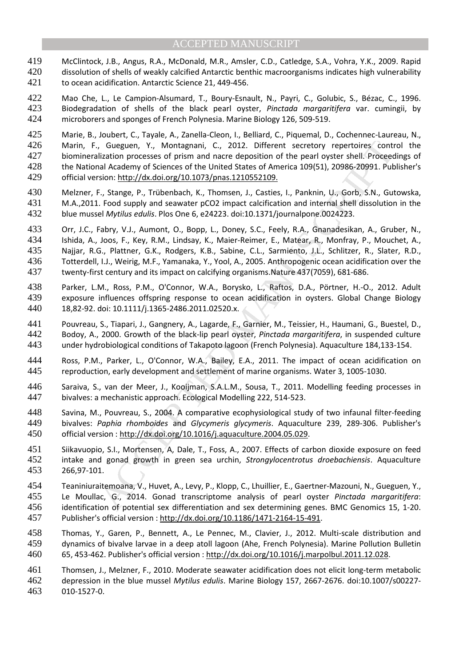McClintock, J.B., Angus, R.A., McDonald, M.R., Amsler, C.D., Catledge, S.A., Vohra, Y.K., 2009. Rapid 420 dissolution of shells of weakly calcified Antarctic benthic macroorganisms indicates high vulnerability to ocean acidification. Antarctic Science 21, 449-456.

Mao Che, L., Le Campion-Alsumard, T., Boury-Esnault, N., Payri, C., Golubic, S., Bézac, C., 1996. Biodegradation of shells of the black pearl oyster, *Pinctada margaritifera* var. cumingii, by microborers and sponges of French Polynesia. Marine Biology 126, 509-519.

Marie, B., Joubert, C., Tayale, A., Zanella-Cleon, I., Belliard, C., Piquemal, D., Cochennec-Laureau, N., Marin, F., Gueguen, Y., Montagnani, C., 2012. Different secretory repertoires control the biomineralization processes of prism and nacre deposition of the pearl oyster shell. Proceedings of the National Academy of Sciences of the United States of America 109(51), 20986-20991. Publisher's official version: http://dx.doi.org/10.1073/pnas.1210552109.

- Melzner, F., Stange, P., Trübenbach, K., Thomsen, J., Casties, I., Panknin, U., Gorb, S.N., Gutowska, M.A.,2011. Food supply and seawater pCO2 impact calcification and internal shell dissolution in the blue mussel *Mytilus edulis*. Plos One 6, e24223. doi:10.1371/journalpone.0024223.
- Consume of Consume in C., 2012. Different secretory repertoires contization processes of prism and nare eleposition of the pearl opters shell. Procees and the states of America 109(51), 20986-20991. Put<br>ial Academy of Scie Orr, J.C., Fabry, V.J., Aumont, O., Bopp, L., Doney, S.C., Feely, R.A., Gnanadesikan, A., Gruber, N., Ishida, A., Joos, F., Key, R.M., Lindsay, K., Maier-Reimer, E., Matear, R., Monfray, P., Mouchet, A., Najjar, R.G., Plattner, G.K., Rodgers, K.B., Sabine, C.L., Sarmiento, J.L., Schlitzer, R., Slater, R.D., Totterdell, I.J., Weirig, M.F., Yamanaka, Y., Yool, A., 2005. Anthropogenic ocean acidification over the twenty-first century and its impact on calcifying organisms.Nature 437(7059), 681-686.
- Parker, L.M., Ross, P.M., O'Connor, W.A., Borysko, L., Raftos, D.A., Pörtner, H.-O., 2012. Adult exposure influences offspring response to ocean acidification in oysters. Global Change Biology 18,82-92. doi: 10.1111/j.1365-2486.2011.02520.x.
- Pouvreau, S., Tiapari, J., Gangnery, A., Lagarde, F., Garnier, M., Teissier, H., Haumani, G., Buestel, D., Bodoy, A., 2000. Growth of the black-lip pearl oyster, *Pinctada margaritifera*, in suspended culture under hydrobiological conditions of Takapoto lagoon (French Polynesia). Aquaculture 184,133-154.
- Ross, P.M., Parker, L., O'Connor, W.A., Bailey, E.A., 2011. The impact of ocean acidification on reproduction, early development and settlement of marine organisms. Water 3, 1005-1030.
- Saraiva, S., van der Meer, J., Kooijman, S.A.L.M., Sousa, T., 2011. Modelling feeding processes in bivalves: a mechanistic approach. Ecological Modelling 222, 514-523.
- Savina, M., Pouvreau, S., 2004. A comparative ecophysiological study of two infaunal filter-feeding bivalves: *Paphia rhomboides* and *Glycymeris glycymeris*. Aquaculture 239, 289-306. Publisher's official version : http://dx.doi.org/10.1016/j.aquaculture.2004.05.029.
- Siikavuopio, S.I., Mortensen, A, Dale, T., Foss, A., 2007. Effects of carbon dioxide exposure on feed intake and gonad growth in green sea urchin, *Strongylocentrotus droebachiensis*. Aquaculture 266,97-101.
- Teaniniuraitemoana, V., Huvet, A., Levy, P., Klopp, C., Lhuillier, E., Gaertner-Mazouni, N., Gueguen, Y., Le Moullac, G., 2014. Gonad transcriptome analysis of pearl oyster *Pinctada margaritifera*: identification of potential sex differentiation and sex determining genes. BMC Genomics 15, 1-20. Publisher's official version : http://dx.doi.org/10.1186/1471-2164-15-491.
- Thomas, Y., Garen, P., Bennett, A., Le Pennec, M., Clavier, J., 2012. Multi-scale distribution and dynamics of bivalve larvae in a deep atoll lagoon (Ahe, French Polynesia). Marine Pollution Bulletin 65, 453-462. Publisher's official version : http://dx.doi.org/10.1016/j.marpolbul.2011.12.028.

Thomsen, J., Melzner, F., 2010. Moderate seawater acidification does not elicit long-term metabolic depression in the blue mussel *Mytilus edulis*. Marine Biology 157, 2667-2676. doi:10.1007/s00227- 010-1527-0.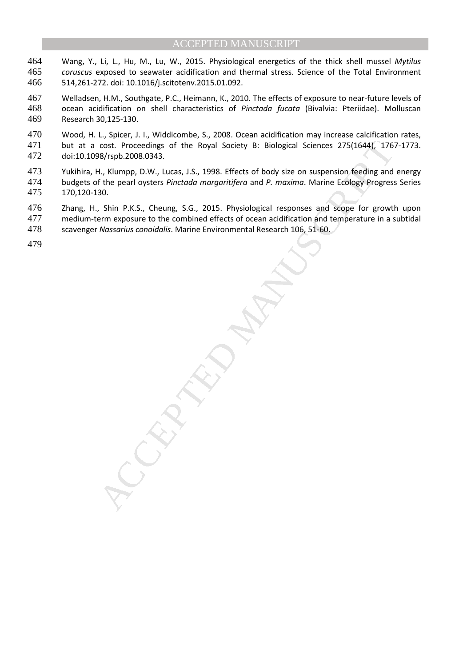- Wang, Y., Li, L., Hu, M., Lu, W., 2015. Physiological energetics of the thick shell mussel *Mytilus coruscus* exposed to seawater acidification and thermal stress. Science of the Total Environment 514,261-272. doi: 10.1016/j.scitotenv.2015.01.092.
- Welladsen, H.M., Southgate, P.C., Heimann, K., 2010. The effects of exposure to near-future levels of ocean acidification on shell characteristics of *Pinctada fucata* (Bivalvia: Pteriidae). Molluscan Research 30,125-130.
- Wood, H. L., Spicer, J. I., Widdicombe, S., 2008. Ocean acidification may increase calcification rates, but at a cost. Proceedings of the Royal Society B: Biological Sciences 275(1644), 1767-1773. doi:10.1098/rspb.2008.0343.
- 473 Yukihira, H., Klumpp, D.W., Lucas, J.S., 1998. Effects of body size on suspension feeding and energy<br>474 budgets of the pearl oysters Pinctada margaritifera and P. maxima. Marine Ecology Progress Series budgets of the pearl oysters *Pinctada margaritifera* and *P. maxima*. Marine Ecology Progress Series 170,120-130.
- Zhang, H., Shin P.K.S., Cheung, S.G., 2015. Physiological responses and scope for growth upon
- medium-term exposure to the combined effects of ocean acidification and temperature in a subtidal scavenger *Nassarius conoidalis*. Marine Environmental Research 106, 51-60.

cost. Proceedings of the Royal Society B: Biological Sciences 275(1644), 176<br>
May Fopb. 2008.0343.<br>
1, Klumpp, D.W., Lucas, J.S., 1998. Effects of body size on suspension feeding and<br>
1, Klumpp, D.W., Lucas, J.S., 1998. Ef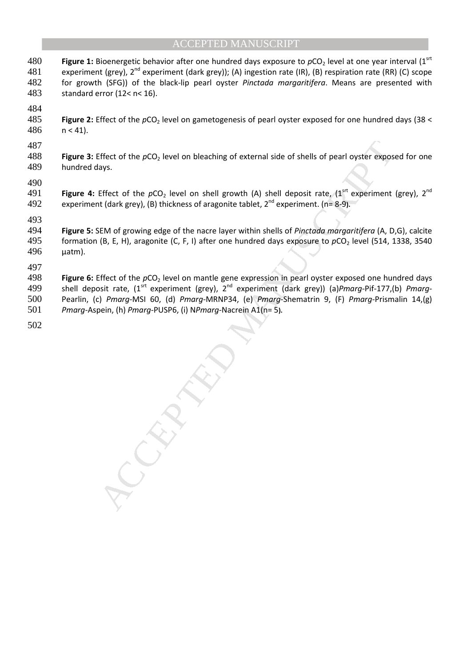- **Figure 1:** Bioenergetic behavior after one hundred days exposure to  $pCO_2$  level at one year interval (1st 481 experiment (grey),  $2^{nd}$  experiment (dark grey)); (A) ingestion rate (IR), (B) respiration rate (RR) (C) scope 482 for growth (SFG)) of the black-lip pearl oyster *Pinctada margaritifera*. Means are presented with 483 standard error (12< n< 16).
- 484<br>485
- **Figure 2:** Effect of the  $pCO<sub>2</sub>$  level on gametogenesis of pearl oyster exposed for one hundred days (38 <  $486$  n < 41).
- 487
- 488 **Figure 3:** Effect of the  $pCO<sub>2</sub>$  level on bleaching of external side of shells of pearl oyster exposed for one 489 hundred days.
- 490
- **Figure 4:** Effect of the  $pCO_2$  level on shell growth (A) shell deposit rate, (1<sup>srt</sup> experiment (grey), 2<sup>nd</sup> 492 experiment (dark grey), (B) thickness of aragonite tablet, 2<sup>nd</sup> experiment. (n= 8-9).
- 493
- 494 **Figure 5:** SEM of growing edge of the nacre layer within shells of *Pinctada margaritifera* (A, D,G), calcite 495 formation (B, E, H), aragonite (C, F, I) after one hundred days exposure to  $pCO<sub>2</sub>$  level (514, 1338, 3540 496 µatm).

497

Effect of the *pCO*<sub>2</sub> level on bleaching of external side of shells of pearl oyster exposes.<br>
Also,<br>
Effect of the *pCO*<sub>2</sub> level on shell growth (A) shell deposit rate,  $(1^{snr}$  experiment the dark grey), (B) thickness 498 **Figure 6:** Effect of the pCO<sub>2</sub> level on mantle gene expression in pearl oyster exposed one hundred days shell deposit rate, (1srt experiment (grey), 2nd 499 experiment (dark grey)) (a)*Pmarg-*Pif-177,(b) *Pmarg-*500 Pearlin, (c) *Pmarg-*MSI 60, (d) *Pmarg-*MRNP34, (e) *Pmarg-*Shematrin 9, (F) *Pmarg-*Prismalin 14,(g) 501 *Pmarg-*Aspein, (h) *Pmarg-*PUSP6, (i) N*Pmarg-*Nacrein A1(n= 5**).**

502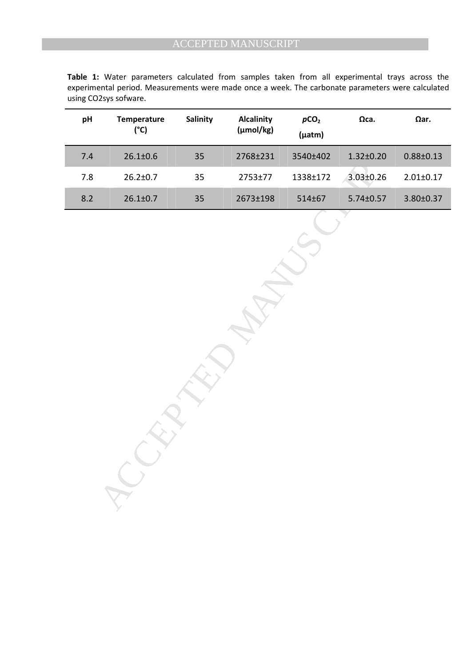| pH    | Temperature<br>(°C) | Salinity | <b>Alcalinity</b><br>(µmol/kg) | pCO <sub>2</sub><br>$(\mu atm)$ | $\Omega$ ca.    | $\Omega$ ar.    |
|-------|---------------------|----------|--------------------------------|---------------------------------|-----------------|-----------------|
| 7.4   | $26.1 \pm 0.6$      | 35       | 2768±231                       | 3540±402                        | $1.32 \pm 0.20$ | $0.88 \pm 0.13$ |
| $7.8$ | $26.2 \pm 0.7$      | 35       | 2753±77                        | 1338±172                        | $3.03 \pm 0.26$ | $2.01 \pm 0.17$ |
| 8.2   | $26.1 \pm 0.7$      | 35       | 2673±198                       | 514±67                          | $5.74 \pm 0.57$ | 3.80±0.37       |
|       |                     |          |                                |                                 |                 |                 |

**Table 1:** Water parameters calculated from samples taken from all experimental trays across the experimental period. Measurements were made once a week. The carbonate parameters were calculated using CO2sys sofware.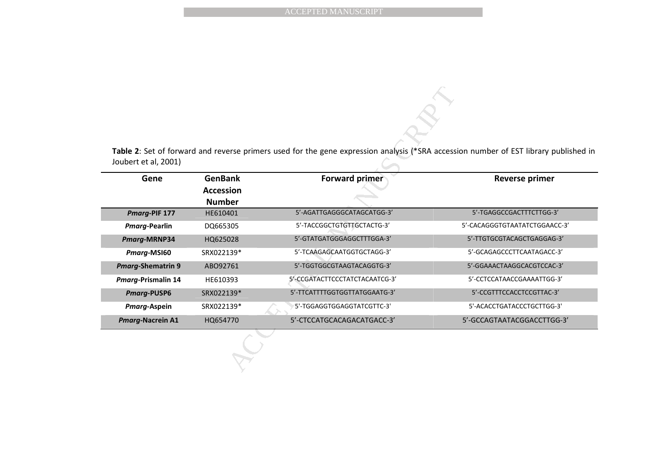| <b>GenBank</b>   | <b>Forward primer</b>          | <b>Reverse primer</b>                                                                                                                |  |  |  |
|------------------|--------------------------------|--------------------------------------------------------------------------------------------------------------------------------------|--|--|--|
| <b>Accession</b> |                                |                                                                                                                                      |  |  |  |
|                  |                                |                                                                                                                                      |  |  |  |
| <b>Number</b>    |                                |                                                                                                                                      |  |  |  |
| HE610401         | 5'-AGATTGAGGGCATAGCATGG-3'     | 5'-TGAGGCCGACTTTCTTGG-3'                                                                                                             |  |  |  |
| DQ665305         | 5'-TACCGGCTGTGTTGCTACTG-3'     | 5'-CACAGGGTGTAATATCTGGAACC-3'                                                                                                        |  |  |  |
| HQ625028         | 5'-GTATGATGGGAGGCTTTGGA-3'     | 5'-TTGTGCGTACAGCTGAGGAG-3'                                                                                                           |  |  |  |
| SRX022139*       | 5'-TCAAGAGCAATGGTGCTAGG-3'     | 5'-GCAGAGCCCTTCAATAGACC-3'                                                                                                           |  |  |  |
| ABO92761         | 5'-TGGTGGCGTAAGTACAGGTG-3'     | 5'-GGAAACTAAGGCACGTCCAC-3'                                                                                                           |  |  |  |
| HE610393         | 5'-CCGATACTTCCCTATCTACAATCG-3' | 5'-CCTCCATAACCGAAAATTGG-3'                                                                                                           |  |  |  |
| SRX022139*       | 5'-TTCATTTTGGTGGTTATGGAATG-3'  | 5'-CCGTTTCCACCTCCGTTAC-3'                                                                                                            |  |  |  |
| SRX022139*       | 5'-TGGAGGTGGAGGTATCGTTC-3'     | 5'-ACACCTGATACCCTGCTTGG-3'                                                                                                           |  |  |  |
|                  |                                | Table 2: Set of forward and reverse primers used for the gene expression analysis (*SRA accession number of EST library published in |  |  |  |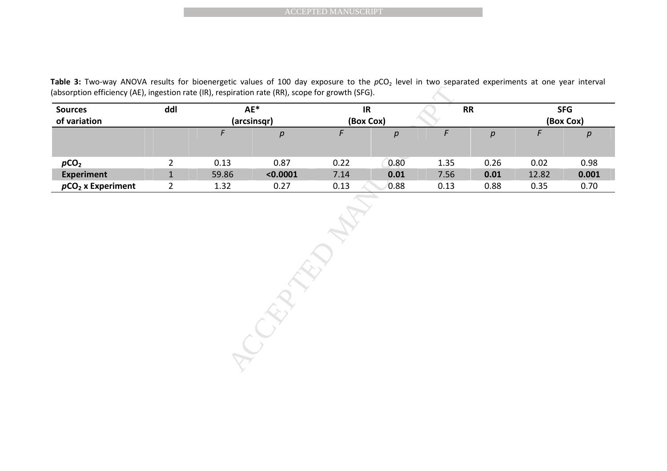| <b>Sources</b><br>of variation | ddl            | $AE^*$<br>(arcsinsqr) |          | IR<br>(Box Cox) |                  | <b>RR</b> |                  | <b>SFG</b><br>(Box Cox) |                  |  |
|--------------------------------|----------------|-----------------------|----------|-----------------|------------------|-----------|------------------|-------------------------|------------------|--|
|                                |                | $\sqrt{F}$            | $\rho$   | $\digamma$      | $\boldsymbol{p}$ | F         | $\boldsymbol{p}$ | F                       | $\boldsymbol{p}$ |  |
| pCO <sub>2</sub>               | $\overline{2}$ | 0.13                  | 0.87     | 0.22            | 0.80             | 1.35      | 0.26             | 0.02                    | 0.98             |  |
| <b>Experiment</b>              | $\mathbf{1}$   | 59.86                 | < 0.0001 | 7.14            | 0.01             | 7.56      | 0.01             | 12.82                   | 0.001            |  |
|                                |                |                       |          |                 |                  |           |                  |                         |                  |  |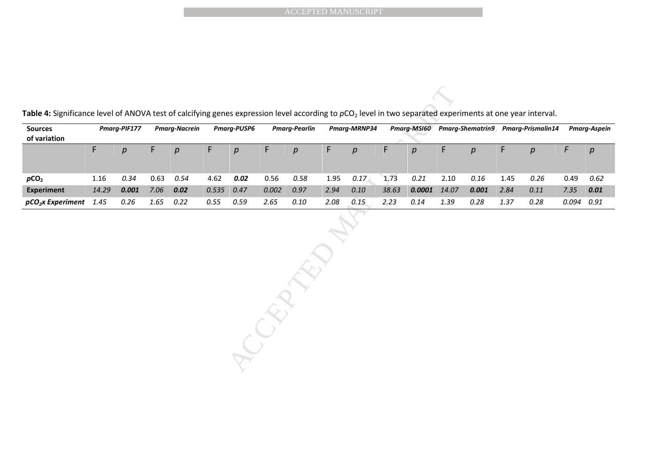|                                                                                                                                                                                                         |       |                |             |                      |          |                    |       |                      |      | <b>ACCEPTED MANUSCRIPT</b> |       |                |       |                |      |                                                |            |                     |
|---------------------------------------------------------------------------------------------------------------------------------------------------------------------------------------------------------|-------|----------------|-------------|----------------------|----------|--------------------|-------|----------------------|------|----------------------------|-------|----------------|-------|----------------|------|------------------------------------------------|------------|---------------------|
| Table 4: Significance level of ANOVA test of calcifying genes expression level according to pCO <sub>2</sub> level in two separated experiments at one year interval.<br><b>Sources</b><br>of variation |       | Pmarg-PIF177   |             | <b>Pmarg-Nacrein</b> |          | <b>Pmarg-PUSP6</b> |       | <b>Pmarg-Pearlin</b> |      | Pmarg-MRNP34               |       |                |       |                |      | Pmarg-MSI60 Pmarg-Shematrin9 Pmarg-Prismalin14 |            | <b>Pmarg-Aspein</b> |
|                                                                                                                                                                                                         | F     | $\overline{p}$ | $\mathsf F$ | p                    | F        | p                  | F     | p                    | F    | $\boldsymbol{p}$           | F     | $\overline{p}$ | F     | $\overline{p}$ | F    | p                                              | $\digamma$ | $\boldsymbol{p}$    |
| pCO <sub>2</sub>                                                                                                                                                                                        | 1.16  | 0.34           | 0.63        | 0.54                 | 4.62     | 0.02               | 0.56  | 0.58                 | 1.95 | 0.17                       | 1.73  | 0.21           | 2.10  | 0.16           | 1.45 | 0.26                                           | 0.49       | 0.62                |
| <b>Experiment</b>                                                                                                                                                                                       | 14.29 | 0.001          | 7.06        | 0.02                 | 0.535    | 0.47               | 0.002 | 0.97                 | 2.94 | $0.10\,$                   | 38.63 | 0.0001         | 14.07 | 0.001          | 2.84 | $0.11\,$                                       | 7.35       | 0.01                |
| $pCO2$ x Experiment                                                                                                                                                                                     | 1.45  | 0.26           | 1.65        | 0.22                 | $0.55\,$ | 0.59               | 2.65  | $0.10\,$             | 2.08 | 0.15                       | 2.23  | $0.14\,$       | 1.39  | 0.28           | 1.37 | 0.28                                           | 0.094      | 0.91                |
|                                                                                                                                                                                                         |       |                |             |                      |          |                    | CREAT | EN                   |      |                            |       |                |       |                |      |                                                |            |                     |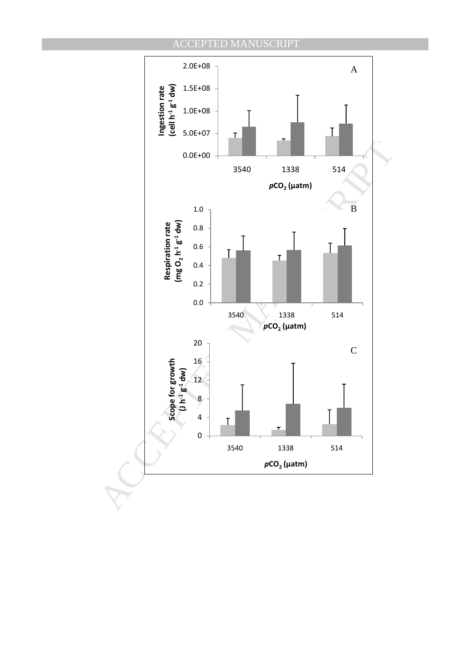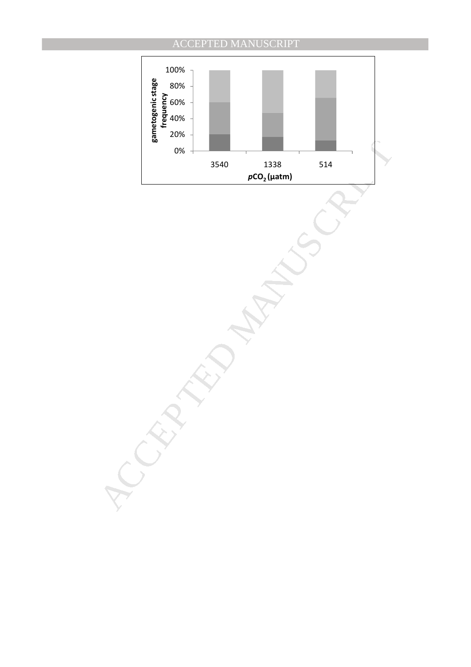# 80% 100%



MANUSCRIPT ACCEPTED ACCEPTED MANUSCRIPT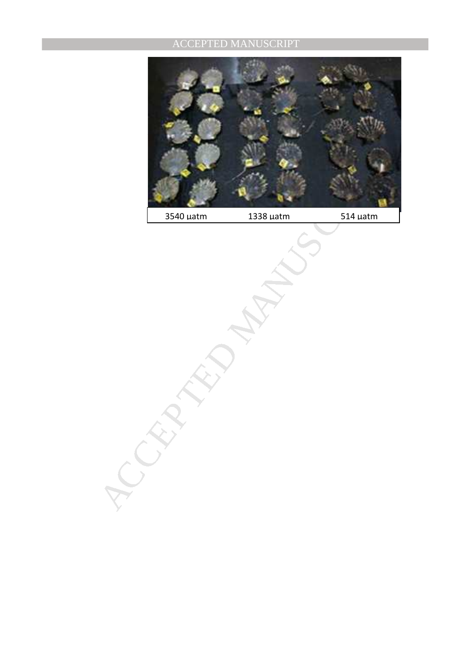

3540 µatm 1338 µatm 514 µatm

MANUSCRIPT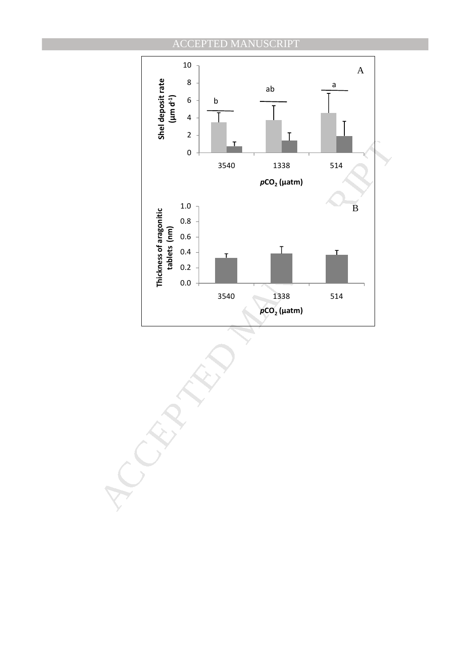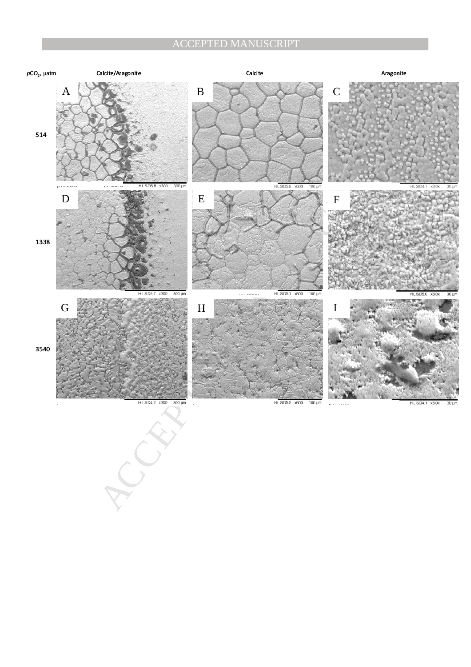